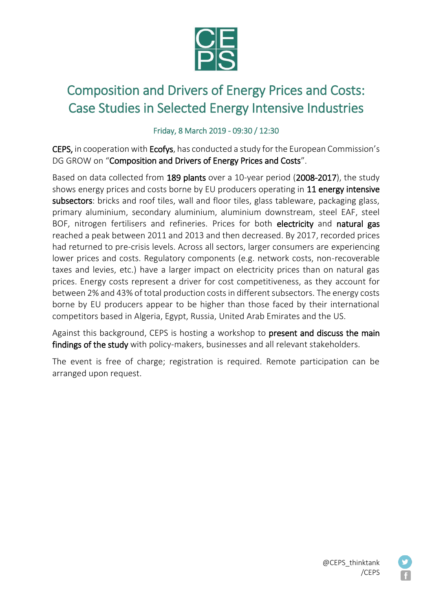

## Composition and Drivers of Energy Prices and Costs: Case Studies in Selected Energy Intensive Industries

## Friday, 8 March 2019 - 09:30 / 12:30

CEPS, in cooperation with Ecofys, has conducted a study for the European Commission's DG GROW on "Composition and Drivers of Energy Prices and Costs".

Based on data collected from 189 plants over a 10-year period (2008-2017), the study shows energy prices and costs borne by EU producers operating in 11 energy intensive subsectors: bricks and roof tiles, wall and floor tiles, glass tableware, packaging glass, primary aluminium, secondary aluminium, aluminium downstream, steel EAF, steel BOF, nitrogen fertilisers and refineries. Prices for both electricity and natural gas reached a peak between 2011 and 2013 and then decreased. By 2017, recorded prices had returned to pre-crisis levels. Across all sectors, larger consumers are experiencing lower prices and costs. Regulatory components (e.g. network costs, non-recoverable taxes and levies, etc.) have a larger impact on electricity prices than on natural gas prices. Energy costs represent a driver for cost competitiveness, as they account for between 2% and 43% of total production costs in different subsectors. The energy costs borne by EU producers appear to be higher than those faced by their international competitors based in Algeria, Egypt, Russia, United Arab Emirates and the US.

Against this background, CEPS is hosting a workshop to present and discuss the main findings of the study with policy-makers, businesses and all relevant stakeholders.

The event is free of charge; registration is required. Remote participation can be arranged upon request.